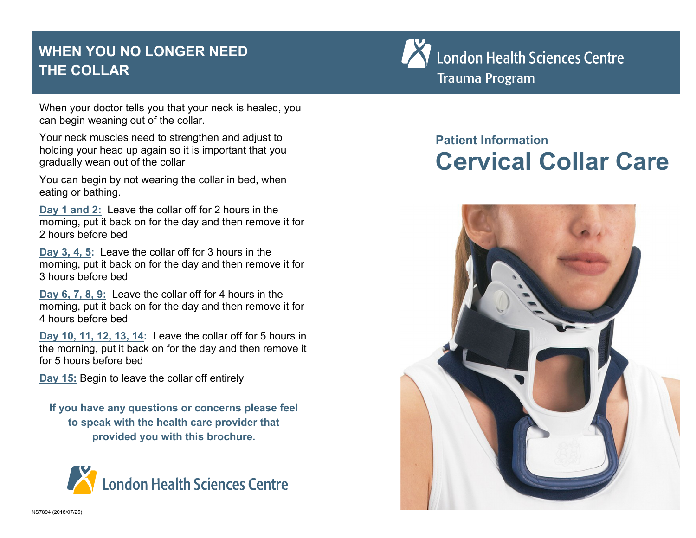## **WHEEN YOU NO LONGER NEED THEE COLLAR**

When your doctor tells you that your neck is healed, you can begin weaning out of the collar.

Your neck muscles need to strengthen and adjust to holding your head up again so it is important that you gradu ually wean out of the collar

You can begin by not wearing the collar in bed, when eating g or bathing.

Day 1 and 2: Leave the collar off for 2 hours in the morning, put it back on for the day and then remove it for 2 hours before bed

**Day 3, 4, 5:** Leave the collar off for 3 hours in the morning, put it back on for the day and then remove it for 3 hours before bed

**Day 6, 7, 8, 9:** Leave the collar off for 4 hours in the morning, put it back on for the day and then remove it for 4 hours before bed

**Day 1 10, 11, 12, 13, 14:** Leave the e collar off for 5 hours in the morning, put it back on for the day and then remove it for 5 hours before bed

**Day 15:** Begin to leave the collar off entirely

**If you have any questions or concerns please feel to speak with the health care provider that provide d you with th is brochure.** 





# **Pattient Informaation Ceervical Coll ar Care**